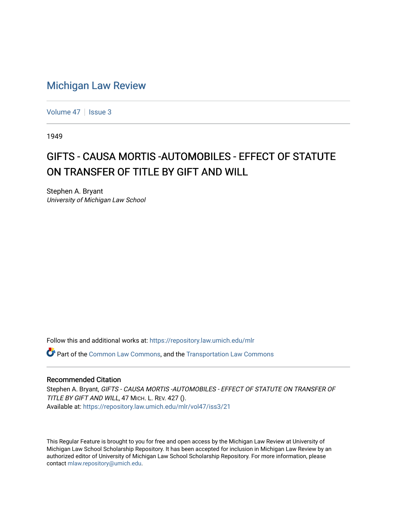## [Michigan Law Review](https://repository.law.umich.edu/mlr)

[Volume 47](https://repository.law.umich.edu/mlr/vol47) | [Issue 3](https://repository.law.umich.edu/mlr/vol47/iss3)

1949

## GIFTS - CAUSA MORTIS -AUTOMOBILES - EFFECT OF STATUTE ON TRANSFER OF TITLE BY GIFT AND WILL

Stephen A. Bryant University of Michigan Law School

Follow this and additional works at: [https://repository.law.umich.edu/mlr](https://repository.law.umich.edu/mlr?utm_source=repository.law.umich.edu%2Fmlr%2Fvol47%2Fiss3%2F21&utm_medium=PDF&utm_campaign=PDFCoverPages) 

 $\bullet$  Part of the [Common Law Commons,](http://network.bepress.com/hgg/discipline/1120?utm_source=repository.law.umich.edu%2Fmlr%2Fvol47%2Fiss3%2F21&utm_medium=PDF&utm_campaign=PDFCoverPages) and the Transportation Law Commons

## Recommended Citation

Stephen A. Bryant, GIFTS - CAUSA MORTIS -AUTOMOBILES - EFFECT OF STATUTE ON TRANSFER OF TITLE BY GIFT AND WILL, 47 MICH. L. REV. 427 (). Available at: [https://repository.law.umich.edu/mlr/vol47/iss3/21](https://repository.law.umich.edu/mlr/vol47/iss3/21?utm_source=repository.law.umich.edu%2Fmlr%2Fvol47%2Fiss3%2F21&utm_medium=PDF&utm_campaign=PDFCoverPages) 

This Regular Feature is brought to you for free and open access by the Michigan Law Review at University of Michigan Law School Scholarship Repository. It has been accepted for inclusion in Michigan Law Review by an authorized editor of University of Michigan Law School Scholarship Repository. For more information, please contact [mlaw.repository@umich.edu](mailto:mlaw.repository@umich.edu).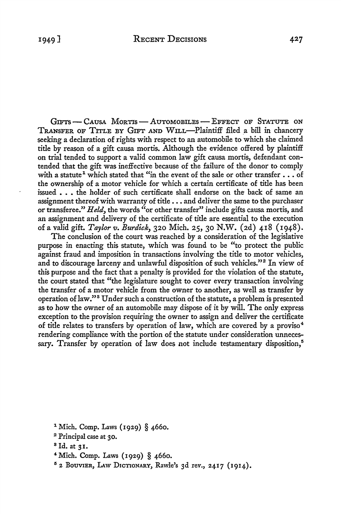GIFTS - CAUSA MORTIS - AUTOMOBILES - EFFECT OF STATUTE ON TRANSFER OF TITLE BY GIFT AND WILL-Plaintiff filed a bill in chancery seeking a declaration of rights with respect to an automobile to which she claimed title by reason of a gift causa morris. Although the evidence offered by plaintiff on trial tended to support a valid common law gift causa mortis, defendant contended that the gift was ineffective because of the failure of the donor to comply with a statute<sup>1</sup> which stated that "in the event of the sale or other transfer  $\ldots$  of the ownership of a motor vehicle for which a certain certificate of title has been issued . . . the holder of such certificate shall endorse on the back of same an assignment thereof with warranty of title .•. and deliver the same to the purchaser or transferee." *Held,* the words "or other transfer" include gifts causa mortis, and an assignment and delivery of the certificate of title are essential to the execution of a valid gift. *Taylor v. Burdick,* 320 Mich. 25, 30 N.W. (2d) 418 (1948).

The conclusion of the court was reached by a consideration of the legislative purpose in enacting this statute, which was found to be "to protect the public against fraud and imposition in transactions involving the title to motor vehicles, and to discourage larceny and unlawful disposition of such vehicles."<sup>2</sup> In view of this purpose and the fact that a penalty is provided for the violation of the statute, the court stated that "the legislature sought to cover every transaction involving the transfer of a motor vehicle from the owner to another, as well as transfer by operation of law."<sup>3</sup> Under such a construction of the statute, a problem is presented as to how the owner of an automobile may dispose of it by will. The only express exception to the provision requiring the owner to assign and deliver the certificate of title relates to transfers by operation of law, which are covered by a proviso <sup>4</sup> rendering compliance with the portion of the statute under consideration unnecessary. Transfer by operation of law does not include testamentary disposition,<sup>5</sup>

- <sup>1</sup> Mich. Comp. Laws (1929) § 4660.
- <sup>2</sup> Principal case at 30.
- <sup>8</sup>Id. at 31.
- <sup>4</sup>Mich. Comp. Laws (1929) § 4660.
- 5 2 BouVIER, LAw DrcTIONARY, Rawle's 3d rev., 2417 (1914).